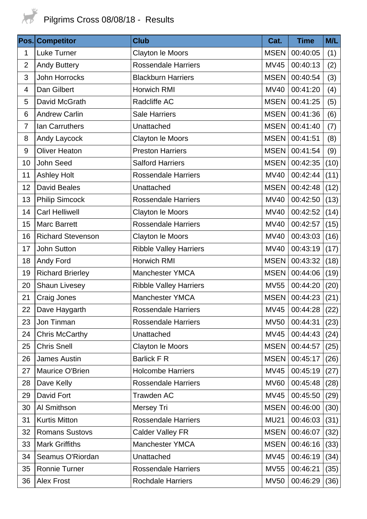

| Pos.           | <b>Competitor</b>        | <b>Club</b>                   | Cat.        | <b>Time</b> | M/L  |
|----------------|--------------------------|-------------------------------|-------------|-------------|------|
| 1              | Luke Turner              | <b>Clayton le Moors</b>       | <b>MSEN</b> | 00:40:05    | (1)  |
| $\overline{2}$ | <b>Andy Buttery</b>      | <b>Rossendale Harriers</b>    | <b>MV45</b> | 00:40:13    | (2)  |
| 3              | <b>John Horrocks</b>     | <b>Blackburn Harriers</b>     | <b>MSEN</b> | 00:40:54    | (3)  |
| $\overline{4}$ | Dan Gilbert              | Horwich RMI                   | <b>MV40</b> | 00:41:20    | (4)  |
| 5              | David McGrath            | Radcliffe AC                  | <b>MSEN</b> | 00:41:25    | (5)  |
| 6              | <b>Andrew Carlin</b>     | <b>Sale Harriers</b>          | <b>MSEN</b> | 00:41:36    | (6)  |
| $\overline{7}$ | Ian Carruthers           | Unattached                    | <b>MSEN</b> | 00:41:40    | (7)  |
| 8              | Andy Laycock             | Clayton le Moors              | <b>MSEN</b> | 00:41:51    | (8)  |
| 9              | <b>Oliver Heaton</b>     | <b>Preston Harriers</b>       | <b>MSEN</b> | 00:41:54    | (9)  |
| 10             | John Seed                | <b>Salford Harriers</b>       | <b>MSEN</b> | 00:42:35    | (10) |
| 11             | <b>Ashley Holt</b>       | <b>Rossendale Harriers</b>    | <b>MV40</b> | 00:42:44    | (11) |
| 12             | <b>David Beales</b>      | Unattached                    | <b>MSEN</b> | 00:42:48    | (12) |
| 13             | <b>Philip Simcock</b>    | <b>Rossendale Harriers</b>    | <b>MV40</b> | 00:42:50    | (13) |
| 14             | <b>Carl Helliwell</b>    | Clayton le Moors              | <b>MV40</b> | 00:42:52    | (14) |
| 15             | <b>Marc Barrett</b>      | <b>Rossendale Harriers</b>    | <b>MV40</b> | 00:42:57    | (15) |
| 16             | <b>Richard Stevenson</b> | Clayton le Moors              | <b>MV40</b> | 00:43:03    | (16) |
| 17             | <b>John Sutton</b>       | <b>Ribble Valley Harriers</b> | <b>MV40</b> | 00:43:19    | (17) |
| 18             | Andy Ford                | Horwich RMI                   | <b>MSEN</b> | 00:43:32    | (18) |
| 19             | <b>Richard Brierley</b>  | <b>Manchester YMCA</b>        | <b>MSEN</b> | 00:44:06    | (19) |
| 20             | <b>Shaun Livesey</b>     | <b>Ribble Valley Harriers</b> | <b>MV55</b> | 00:44:20    | (20) |
| 21             | Craig Jones              | <b>Manchester YMCA</b>        | <b>MSEN</b> | 00:44:23    | (21) |
| 22             | Dave Haygarth            | <b>Rossendale Harriers</b>    | <b>MV45</b> | 00:44:28    | (22) |
| 23             | Jon Tinman               | <b>Rossendale Harriers</b>    | <b>MV50</b> | 00:44:31    | (23) |
| 24             | Chris McCarthy           | Unattached                    | <b>MV45</b> | 00:44:43    | (24) |
| 25             | <b>Chris Snell</b>       | Clayton le Moors              | <b>MSEN</b> | 00:44:57    | (25) |
| 26             | <b>James Austin</b>      | <b>Barlick F R</b>            | <b>MSEN</b> | 00:45:17    | (26) |
| 27             | Maurice O'Brien          | <b>Holcombe Harriers</b>      | <b>MV45</b> | 00:45:19    | (27) |
| 28             | Dave Kelly               | <b>Rossendale Harriers</b>    | <b>MV60</b> | 00:45:48    | (28) |
| 29             | David Fort               | <b>Trawden AC</b>             | <b>MV45</b> | 00:45:50    | (29) |
| 30             | Al Smithson              | Mersey Tri                    | <b>MSEN</b> | 00:46:00    | (30) |
| 31             | <b>Kurtis Mitton</b>     | <b>Rossendale Harriers</b>    | <b>MU21</b> | 00:46:03    | (31) |
| 32             | <b>Romans Sustovs</b>    | <b>Calder Valley FR</b>       | <b>MSEN</b> | 00:46:07    | (32) |
| 33             | <b>Mark Griffiths</b>    | <b>Manchester YMCA</b>        | <b>MSEN</b> | 00:46:16    | (33) |
| 34             | Seamus O'Riordan         | Unattached                    | <b>MV45</b> | 00:46:19    | (34) |
| 35             | <b>Ronnie Turner</b>     | <b>Rossendale Harriers</b>    | <b>MV55</b> | 00:46:21    | (35) |
| 36             | <b>Alex Frost</b>        | <b>Rochdale Harriers</b>      | <b>MV50</b> | 00:46:29    | (36) |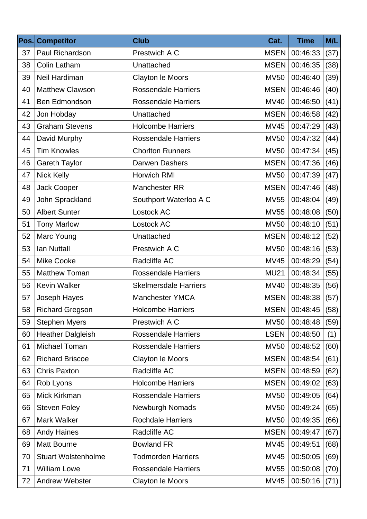| Pos. | <b>Competitor</b>          | <b>Club</b>                  | Cat.        | <b>Time</b>   | M/L  |
|------|----------------------------|------------------------------|-------------|---------------|------|
| 37   | Paul Richardson            | Prestwich A C                | <b>MSEN</b> | 00:46:33      | (37) |
| 38   | Colin Latham               | Unattached                   | <b>MSEN</b> | 00:46:35      | (38) |
| 39   | Neil Hardiman              | Clayton le Moors             | <b>MV50</b> | 00:46:40      | (39) |
| 40   | <b>Matthew Clawson</b>     | <b>Rossendale Harriers</b>   | <b>MSEN</b> | 00:46:46      | (40) |
| 41   | Ben Edmondson              | <b>Rossendale Harriers</b>   | <b>MV40</b> | 00:46:50      | (41) |
| 42   | Jon Hobday                 | Unattached                   | <b>MSEN</b> | 00:46:58      | (42) |
| 43   | <b>Graham Stevens</b>      | <b>Holcombe Harriers</b>     | <b>MV45</b> | 00:47:29      | (43) |
| 44   | David Murphy               | <b>Rossendale Harriers</b>   | <b>MV50</b> | 00:47:32      | (44) |
| 45   | <b>Tim Knowles</b>         | <b>Chorlton Runners</b>      | <b>MV50</b> | 00:47:34      | (45) |
| 46   | <b>Gareth Taylor</b>       | Darwen Dashers               | <b>MSEN</b> | 00:47:36      | (46) |
| 47   | <b>Nick Kelly</b>          | <b>Horwich RMI</b>           | <b>MV50</b> | 00:47:39      | (47) |
| 48   | Jack Cooper                | Manchester RR                | <b>MSEN</b> | 00:47:46      | (48) |
| 49   | John Sprackland            | Southport Waterloo A C       | <b>MV55</b> | 00:48:04      | (49) |
| 50   | <b>Albert Sunter</b>       | Lostock AC                   | <b>MV55</b> | 00:48:08      | (50) |
| 51   | <b>Tony Marlow</b>         | Lostock AC                   | <b>MV50</b> | 00:48:10      | (51) |
| 52   | Marc Young                 | Unattached                   | <b>MSEN</b> | 00:48:12      | (52) |
| 53   | <b>lan Nuttall</b>         | Prestwich A C                | <b>MV50</b> | 00:48:16      | (53) |
| 54   | <b>Mike Cooke</b>          | Radcliffe AC                 | <b>MV45</b> | 00:48:29      | (54) |
| 55   | <b>Matthew Toman</b>       | <b>Rossendale Harriers</b>   | <b>MU21</b> | 00:48:34      | (55) |
| 56   | <b>Kevin Walker</b>        | <b>Skelmersdale Harriers</b> | <b>MV40</b> | 00:48:35      | (56) |
| 57   | Joseph Hayes               | <b>Manchester YMCA</b>       | <b>MSEN</b> | 00:48:38      | (57) |
| 58   | <b>Richard Gregson</b>     | <b>Holcombe Harriers</b>     |             | MSEN 00:48:45 | (58) |
| 59   | <b>Stephen Myers</b>       | Prestwich A C                | <b>MV50</b> | 00:48:48      | (59) |
| 60   | <b>Heather Dalgleish</b>   | <b>Rossendale Harriers</b>   | <b>LSEN</b> | 00:48:50      | (1)  |
| 61   | Michael Toman              | <b>Rossendale Harriers</b>   | <b>MV50</b> | 00:48:52      | (60) |
| 62   | <b>Richard Briscoe</b>     | <b>Clayton le Moors</b>      | <b>MSEN</b> | 00:48:54      | (61) |
| 63   | <b>Chris Paxton</b>        | Radcliffe AC                 | <b>MSEN</b> | 00:48:59      | (62) |
| 64   | Rob Lyons                  | <b>Holcombe Harriers</b>     | <b>MSEN</b> | 00:49:02      | (63) |
| 65   | Mick Kirkman               | <b>Rossendale Harriers</b>   | <b>MV50</b> | 00:49:05      | (64) |
| 66   | <b>Steven Foley</b>        | Newburgh Nomads              | <b>MV50</b> | 00:49:24      | (65) |
| 67   | Mark Walker                | <b>Rochdale Harriers</b>     | <b>MV50</b> | 00:49:35      | (66) |
| 68   | <b>Andy Haines</b>         | Radcliffe AC                 | <b>MSEN</b> | 00:49:47      | (67) |
| 69   | <b>Matt Bourne</b>         | <b>Bowland FR</b>            | <b>MV45</b> | 00:49:51      | (68) |
| 70   | <b>Stuart Wolstenholme</b> | <b>Todmorden Harriers</b>    | <b>MV45</b> | 00:50:05      | (69) |
| 71   | <b>William Lowe</b>        | <b>Rossendale Harriers</b>   | <b>MV55</b> | 00:50:08      | (70) |
| 72   | Andrew Webster             | Clayton le Moors             | <b>MV45</b> | 00:50:16      | (71) |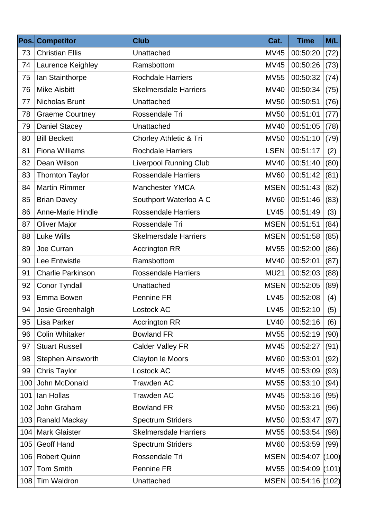| Pos. | <b>Competitor</b>        | <b>Club</b>                   | Cat.        | <b>Time</b>    | M/L   |
|------|--------------------------|-------------------------------|-------------|----------------|-------|
| 73   | <b>Christian Ellis</b>   | Unattached                    | <b>MV45</b> | 00:50:20       | (72)  |
| 74   | Laurence Keighley        | Ramsbottom                    | <b>MV45</b> | 00:50:26       | (73)  |
| 75   | Ian Stainthorpe          | <b>Rochdale Harriers</b>      | <b>MV55</b> | 00:50:32       | (74)  |
| 76   | <b>Mike Aisbitt</b>      | <b>Skelmersdale Harriers</b>  | <b>MV40</b> | 00:50:34       | (75)  |
| 77   | <b>Nicholas Brunt</b>    | Unattached                    | <b>MV50</b> | 00:50:51       | (76)  |
| 78   | <b>Graeme Courtney</b>   | Rossendale Tri                | <b>MV50</b> | 00:51:01       | (77)  |
| 79   | <b>Daniel Stacey</b>     | Unattached                    | <b>MV40</b> | 00:51:05       | (78)  |
| 80   | <b>Bill Beckett</b>      | Chorley Athletic & Tri        | <b>MV50</b> | 00:51:10       | (79)  |
| 81   | <b>Fiona Williams</b>    | <b>Rochdale Harriers</b>      | <b>LSEN</b> | 00:51:17       | (2)   |
| 82   | Dean Wilson              | <b>Liverpool Running Club</b> | <b>MV40</b> | 00:51:40       | (80)  |
| 83   | <b>Thornton Taylor</b>   | <b>Rossendale Harriers</b>    | <b>MV60</b> | 00:51:42       | (81)  |
| 84   | <b>Martin Rimmer</b>     | <b>Manchester YMCA</b>        | <b>MSEN</b> | 00:51:43       | (82)  |
| 85   | <b>Brian Davey</b>       | Southport Waterloo A C        | <b>MV60</b> | 00:51:46       | (83)  |
| 86   | <b>Anne-Marie Hindle</b> | <b>Rossendale Harriers</b>    | <b>LV45</b> | 00:51:49       | (3)   |
| 87   | <b>Oliver Major</b>      | Rossendale Tri                | <b>MSEN</b> | 00:51:51       | (84)  |
| 88   | <b>Luke Wills</b>        | <b>Skelmersdale Harriers</b>  | <b>MSEN</b> | 00:51:58       | (85)  |
| 89   | Joe Curran               | <b>Accrington RR</b>          | <b>MV55</b> | 00:52:00       | (86)  |
| 90   | Lee Entwistle            | Ramsbottom                    | <b>MV40</b> | 00:52:01       | (87)  |
| 91   | <b>Charlie Parkinson</b> | <b>Rossendale Harriers</b>    | <b>MU21</b> | 00:52:03       | (88)  |
| 92   | <b>Conor Tyndall</b>     | Unattached                    | <b>MSEN</b> | 00:52:05       | (89)  |
| 93   | Emma Bowen               | Pennine FR                    | <b>LV45</b> | 00:52:08       | (4)   |
| 94   | Josie Greenhalgh         | Lostock AC                    | <b>LV45</b> | 00:52:10       | (5)   |
| 95   | Lisa Parker              | <b>Accrington RR</b>          | <b>LV40</b> | 00:52:16       | (6)   |
| 96   | <b>Colin Whitaker</b>    | <b>Bowland FR</b>             | <b>MV55</b> | 00:52:19       | (90)  |
| 97   | <b>Stuart Russell</b>    | <b>Calder Valley FR</b>       | <b>MV45</b> | 00:52:27       | (91)  |
| 98   | Stephen Ainsworth        | Clayton le Moors              | <b>MV60</b> | 00:53:01       | (92)  |
| 99   | <b>Chris Taylor</b>      | Lostock AC                    | <b>MV45</b> | 00:53:09       | (93)  |
| 100  | John McDonald            | Trawden AC                    | <b>MV55</b> | 00:53:10       | (94)  |
| 101  | Ian Hollas               | Trawden AC                    | <b>MV45</b> | 00:53:16       | (95)  |
| 102  | John Graham              | <b>Bowland FR</b>             | <b>MV50</b> | 00:53:21       | (96)  |
| 103  | Ranald Mackay            | <b>Spectrum Striders</b>      | <b>MV50</b> | 00:53:47       | (97)  |
| 104  | <b>Mark Glaister</b>     | <b>Skelmersdale Harriers</b>  | <b>MV55</b> | 00:53:54       | (98)  |
| 105  | Geoff Hand               | <b>Spectrum Striders</b>      | <b>MV60</b> | 00:53:59       | (99)  |
| 106  | <b>Robert Quinn</b>      | Rossendale Tri                | <b>MSEN</b> | 00:54:07       | (100) |
| 107  | <b>Tom Smith</b>         | Pennine FR                    | <b>MV55</b> | 00:54:09       | (101) |
| 108  | <b>Tim Waldron</b>       | Unattached                    | <b>MSEN</b> | 00:54:16 (102) |       |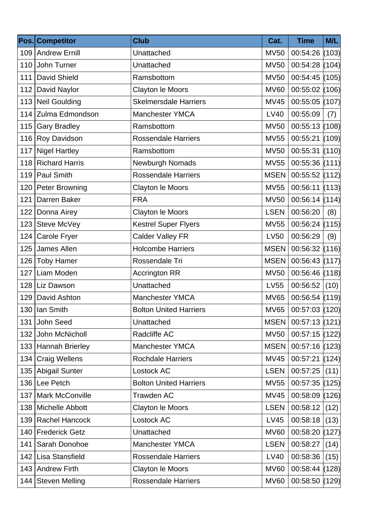|     | Pos. Competitor        | <b>Club</b>                   | Cat.        | <b>Time</b>      | M/L  |
|-----|------------------------|-------------------------------|-------------|------------------|------|
|     | 109 Andrew Ernill      | Unattached                    | <b>MV50</b> | $00:54:26$ (103) |      |
| 110 | John Turner            | Unattached                    | <b>MV50</b> | 00:54:28 (104)   |      |
| 111 | David Shield           | Ramsbottom                    | <b>MV50</b> | 00:54:45 (105)   |      |
|     | 112 David Naylor       | Clayton le Moors              | <b>MV60</b> | 00:55:02 (106)   |      |
|     | 113 Neil Goulding      | <b>Skelmersdale Harriers</b>  | <b>MV45</b> | 00:55:05 (107)   |      |
|     | 114 Zulma Edmondson    | Manchester YMCA               | <b>LV40</b> | 00:55:09         | (7)  |
| 115 | <b>Gary Bradley</b>    | Ramsbottom                    | <b>MV50</b> | $00:55:13$ (108) |      |
| 116 | Roy Davidson           | <b>Rossendale Harriers</b>    | <b>MV55</b> | 00:55:21 (109)   |      |
| 117 | <b>Nigel Hartley</b>   | Ramsbottom                    | <b>MV50</b> | 00:55:31 (110)   |      |
| 118 | <b>Richard Harris</b>  | Newburgh Nomads               | <b>MV55</b> | $00:55:36$ (111) |      |
| 119 | <b>Paul Smith</b>      | <b>Rossendale Harriers</b>    | <b>MSEN</b> | 00:55:52 (112)   |      |
|     | 120   Peter Browning   | Clayton le Moors              | <b>MV55</b> | 00:56:11 (113)   |      |
| 121 | Darren Baker           | <b>FRA</b>                    | <b>MV50</b> | $00:56:14$ (114) |      |
|     | 122 Donna Airey        | <b>Clayton le Moors</b>       | <b>LSEN</b> | 00:56:20         | (8)  |
| 123 | Steve McVey            | <b>Kestrel Super Flyers</b>   | <b>MV55</b> | $00:56:24$ (115) |      |
| 124 | Carole Fryer           | <b>Calder Valley FR</b>       | <b>LV50</b> | 00:56:29         | (9)  |
|     | 125 James Allen        | <b>Holcombe Harriers</b>      | <b>MSEN</b> | 00:56:32 (116)   |      |
| 126 | <b>Toby Hamer</b>      | Rossendale Tri                | <b>MSEN</b> | $00:56:43$ (117) |      |
| 127 | Liam Moden             | <b>Accrington RR</b>          | <b>MV50</b> | $00:56:46$ (118) |      |
|     | 128 Liz Dawson         | Unattached                    | <b>LV55</b> | 00:56:52         | (10) |
| 129 | David Ashton           | <b>Manchester YMCA</b>        | <b>MV65</b> | 00:56:54 (119)   |      |
|     | 130 Ian Smith          | <b>Bolton United Harriers</b> | MV65        | 00:57:03 (120)   |      |
| 131 | John Seed              | Unattached                    | <b>MSEN</b> | $00:57:13$ (121) |      |
| 132 | John McNicholl         | Radcliffe AC                  | <b>MV50</b> | $00:57:15$ (122) |      |
|     | 133 Hannah Brierley    | <b>Manchester YMCA</b>        | <b>MSEN</b> | $00:57:16$ (123) |      |
| 134 | <b>Craig Wellens</b>   | <b>Rochdale Harriers</b>      | <b>MV45</b> | $00:57:21$ (124) |      |
|     | 135 Abigail Sunter     | Lostock AC                    | <b>LSEN</b> | 00:57:25         | (11) |
| 136 | Lee Petch              | <b>Bolton United Harriers</b> | <b>MV55</b> | 00:57:35 (125)   |      |
| 137 | <b>Mark McConville</b> | <b>Trawden AC</b>             | <b>MV45</b> | 00:58:09 (126)   |      |
|     | 138   Michelle Abbott  | Clayton le Moors              | <b>LSEN</b> | 00:58:12         | (12) |
| 139 | <b>Rachel Hancock</b>  | Lostock AC                    | <b>LV45</b> | 00:58:18         | (13) |
| 140 | <b>Frederick Getz</b>  | Unattached                    | <b>MV60</b> | 00:58:20 (127)   |      |
| 141 | Sarah Donohoe          | Manchester YMCA               | <b>LSEN</b> | 00:58:27         | (14) |
| 142 | Lisa Stansfield        | <b>Rossendale Harriers</b>    | LV40        | 00:58:36         | (15) |
| 143 | <b>Andrew Firth</b>    | Clayton le Moors              | <b>MV60</b> | 00:58:44 (128)   |      |
| 144 | <b>Steven Melling</b>  | <b>Rossendale Harriers</b>    | <b>MV60</b> | 00:58:50 (129)   |      |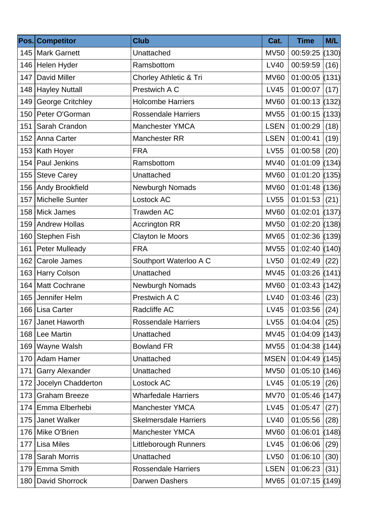|     | Pos. Competitor         | <b>Club</b>                  | Cat.        | <b>Time</b>      | M/L   |
|-----|-------------------------|------------------------------|-------------|------------------|-------|
| 145 | <b>Mark Garnett</b>     | Unattached                   | <b>MV50</b> | $00:59:25$ (130) |       |
| 146 | Helen Hyder             | Ramsbottom                   | LV40        | 00:59:59         | (16)  |
| 147 | <b>David Miller</b>     | Chorley Athletic & Tri       | <b>MV60</b> | $01:00:05$ (131) |       |
| 148 | <b>Hayley Nuttall</b>   | Prestwich A C                | <b>LV45</b> | 01:00:07         | (17)  |
| 149 | <b>George Critchley</b> | <b>Holcombe Harriers</b>     | <b>MV60</b> | 01:00:13 (132)   |       |
| 150 | Peter O'Gorman          | <b>Rossendale Harriers</b>   | <b>MV55</b> | 01:00:15 (133)   |       |
| 151 | Sarah Crandon           | <b>Manchester YMCA</b>       | <b>LSEN</b> | 01:00:29         | (18)  |
| 152 | Anna Carter             | Manchester RR                | <b>LSEN</b> | 01:00:41         | (19)  |
| 153 | Kath Hoyer              | <b>FRA</b>                   | <b>LV55</b> | 01:00:58         | (20)  |
| 154 | <b>Paul Jenkins</b>     | Ramsbottom                   | <b>MV40</b> | 01:01:09 (134)   |       |
| 155 | <b>Steve Carey</b>      | Unattached                   | <b>MV60</b> | 01:01:20 (135)   |       |
| 156 | Andy Brookfield         | Newburgh Nomads              | <b>MV60</b> | $01:01:48$ (136) |       |
| 157 | <b>Michelle Sunter</b>  | Lostock AC                   | LV55        | 01:01:53   (21)  |       |
| 158 | <b>Mick James</b>       | <b>Trawden AC</b>            | <b>MV60</b> | 01:02:01 (137)   |       |
| 159 | <b>Andrew Hollas</b>    | <b>Accrington RR</b>         | <b>MV50</b> | 01:02:20 (138)   |       |
| 160 | <b>Stephen Fish</b>     | Clayton le Moors             | <b>MV65</b> | $01:02:36$ (139) |       |
| 161 | <b>Peter Mulleady</b>   | <b>FRA</b>                   | <b>MV55</b> | $01:02:40$ (140) |       |
| 162 | Carole James            | Southport Waterloo A C       | <b>LV50</b> | 01:02:49         | (22)  |
| 163 | <b>Harry Colson</b>     | Unattached                   | <b>MV45</b> | $01:03:26$ (141) |       |
| 164 | Matt Cochrane           | Newburgh Nomads              | <b>MV60</b> | $01:03:43$ (142) |       |
|     | 165 Jennifer Helm       | Prestwich A C                | <b>LV40</b> | 01:03:46         | (23)  |
|     | 166 Lisa Carter         | Radcliffe AC                 | LV45        | 01:03:56   (24)  |       |
| 167 | Janet Haworth           | <b>Rossendale Harriers</b>   | LV55        | 01:04:04         | (25)  |
|     | 168   Lee Martin        | Unattached                   | <b>MV45</b> | $01:04:09$ (143) |       |
| 169 | Wayne Walsh             | <b>Bowland FR</b>            | <b>MV55</b> | $01:04:38$ (144) |       |
| 170 | Adam Hamer              | Unattached                   | <b>MSEN</b> | $01:04:49$ (145) |       |
| 171 | <b>Garry Alexander</b>  | Unattached                   | <b>MV50</b> | 01:05:10 (146)   |       |
| 172 | Jocelyn Chadderton      | Lostock AC                   | LV45        | 01:05:19         | (26)  |
| 173 | <b>Graham Breeze</b>    | <b>Wharfedale Harriers</b>   | <b>MV70</b> | 01:05:46 (147)   |       |
| 174 | Emma Elberhebi          | <b>Manchester YMCA</b>       | <b>LV45</b> | 01:05:47         | (27)  |
| 175 | <b>Janet Walker</b>     | <b>Skelmersdale Harriers</b> | LV40        | 01:05:56         | (28)  |
| 176 | Mike O'Brien            | <b>Manchester YMCA</b>       | <b>MV60</b> | 01:06:01         | (148) |
| 177 | <b>Lisa Miles</b>       | <b>Littleborough Runners</b> | LV45        | 01:06:06         | (29)  |
| 178 | <b>Sarah Morris</b>     | Unattached                   | <b>LV50</b> | 01:06:10         | (30)  |
| 179 | <b>Emma Smith</b>       | <b>Rossendale Harriers</b>   | <b>LSEN</b> | 01:06:23         | (31)  |
| 180 | David Shorrock          | Darwen Dashers               | <b>MV65</b> | $01:07:15$ (149) |       |